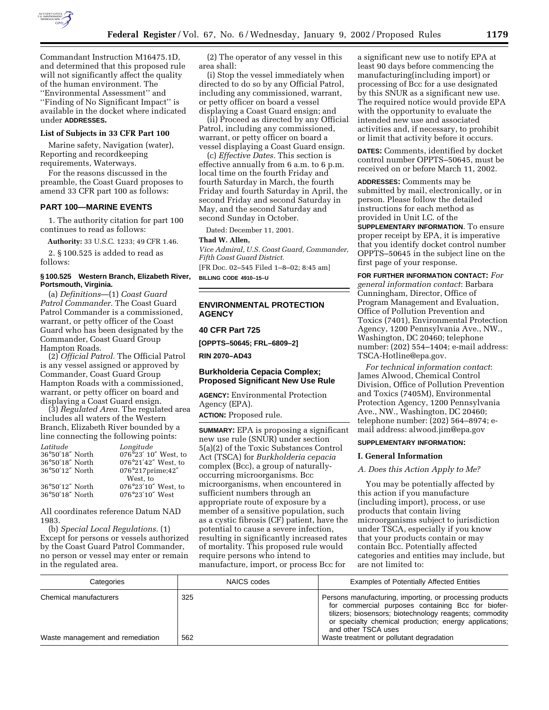

Commandant Instruction M16475.1D, and determined that this proposed rule will not significantly affect the quality of the human environment. The ''Environmental Assessment'' and ''Finding of No Significant Impact'' is available in the docket where indicated under **ADDRESSES.**

## **List of Subjects in 33 CFR Part 100**

Marine safety, Navigation (water), Reporting and recordkeeping requirements, Waterways.

For the reasons discussed in the preamble, the Coast Guard proposes to amend 33 CFR part 100 as follows:

# **PART 100—MARINE EVENTS**

1. The authority citation for part 100 continues to read as follows:

**Authority:** 33 U.S.C. 1233; 49 CFR 1.46. 2. § 100.525 is added to read as

follows:

## **§ 100.525 Western Branch, Elizabeth River, Portsmouth, Virginia.**

(a) *Definitions*—(1) *Coast Guard Patrol Commander.* The Coast Guard Patrol Commander is a commissioned, warrant, or petty officer of the Coast Guard who has been designated by the Commander, Coast Guard Group Hampton Roads.

(2) *Official Patrol.* The Official Patrol is any vessel assigned or approved by Commander, Coast Guard Group Hampton Roads with a commissioned, warrant, or petty officer on board and displaying a Coast Guard ensign.

(3) *Regulated Area.* The regulated area includes all waters of the Western Branch, Elizabeth River bounded by a line connecting the following points:

| Latitude        | Longitude            |
|-----------------|----------------------|
| 36°50'18" North | 076°23' 10" West, to |
| 36°50'18" North | 076°21'42" West, to  |
| 36°50'12" North | 076°217prime;42"     |
|                 | West, to             |
| 36°50'12" North | 076°23'10" West, to  |
| 36°50'18" North | 076°23'10" West      |
|                 |                      |

All coordinates reference Datum NAD 1983.

(b) *Special Local Regulations.* (1) Except for persons or vessels authorized by the Coast Guard Patrol Commander, no person or vessel may enter or remain in the regulated area.

(2) The operator of any vessel in this area shall:

(i) Stop the vessel immediately when directed to do so by any Official Patrol, including any commissioned, warrant, or petty officer on board a vessel displaying a Coast Guard ensign; and

(ii) Proceed as directed by any Official Patrol, including any commissioned, warrant, or petty officer on board a vessel displaying a Coast Guard ensign.

(c) *Effective Dates.* This section is effective annually from 6 a.m. to 6 p.m. local time on the fourth Friday and fourth Saturday in March, the fourth Friday and fourth Saturday in April, the second Friday and second Saturday in May, and the second Saturday and second Sunday in October.

Dated: December 11, 2001.

#### **Thad W. Allen,**

*Vice Admiral, U.S. Coast Guard, Commander, Fifth Coast Guard District.*

[FR Doc. 02–545 Filed 1–8–02; 8:45 am] **BILLING CODE 4910–15–U**

## **ENVIRONMENTAL PROTECTION AGENCY**

# **40 CFR Part 725**

**[OPPTS–50645; FRL–6809–2]**

**RIN 2070–AD43**

## **Burkholderia Cepacia Complex; Proposed Significant New Use Rule**

**AGENCY:** Environmental Protection Agency (EPA).

**ACTION:** Proposed rule.

**SUMMARY:** EPA is proposing a significant new use rule (SNUR) under section 5(a)(2) of the Toxic Substances Control Act (TSCA) for *Burkholderia cepacia* complex (Bcc), a group of naturallyoccurring microorganisms. Bcc microorganisms, when encountered in sufficient numbers through an appropriate route of exposure by a member of a sensitive population, such as a cystic fibrosis (CF) patient, have the potential to cause a severe infection, resulting in significantly increased rates of mortality. This proposed rule would require persons who intend to manufacture, import, or process Bcc for

a significant new use to notify EPA at least 90 days before commencing the manufacturing(including import) or processing of Bcc for a use designated by this SNUR as a significant new use. The required notice would provide EPA with the opportunity to evaluate the intended new use and associated activities and, if necessary, to prohibit or limit that activity before it occurs.

**DATES:** Comments, identified by docket control number OPPTS–50645, must be received on or before March 11, 2002.

**ADDRESSES:** Comments may be submitted by mail, electronically, or in person. Please follow the detailed instructions for each method as provided in Unit I.C. of the **SUPPLEMENTARY INFORMATION**. To ensure

proper receipt by EPA, it is imperative that you identify docket control number OPPTS–50645 in the subject line on the first page of your response.

**FOR FURTHER INFORMATION CONTACT:** *For general information contact*: Barbara Cunningham, Director, Office of Program Management and Evaluation, Office of Pollution Prevention and Toxics (7401), Environmental Protection Agency, 1200 Pennsylvania Ave., NW., Washington, DC 20460; telephone number: (202) 554–1404; e-mail address: TSCA-Hotline@epa.gov.

*For technical information contact*: James Alwood, Chemical Control Division, Office of Pollution Prevention and Toxics (7405M), Environmental Protection Agency, 1200 Pennsylvania Ave., NW., Washington, DC 20460; telephone number: (202) 564–8974; email address: alwood.jim@epa.gov

# **SUPPLEMENTARY INFORMATION:**

#### **I. General Information**

#### *A. Does this Action Apply to Me?*

You may be potentially affected by this action if you manufacture (including import), process, or use products that contain living microorganisms subject to jurisdiction under TSCA, especially if you know that your products contain or may contain Bcc. Potentially affected categories and entities may include, but are not limited to:

| Categories                                                 | NAICS codes | <b>Examples of Potentially Affected Entities</b>                                                                                                                                                                                                                                                       |
|------------------------------------------------------------|-------------|--------------------------------------------------------------------------------------------------------------------------------------------------------------------------------------------------------------------------------------------------------------------------------------------------------|
| Chemical manufacturers<br>Waste management and remediation | 325<br>562  | Persons manufacturing, importing, or processing products<br>for commercial purposes containing Bcc for biofer-<br>tilizers; biosensors; biotechnology reagents; commodity<br>or specialty chemical production; energy applications;<br>and other TSCA uses<br>Waste treatment or pollutant degradation |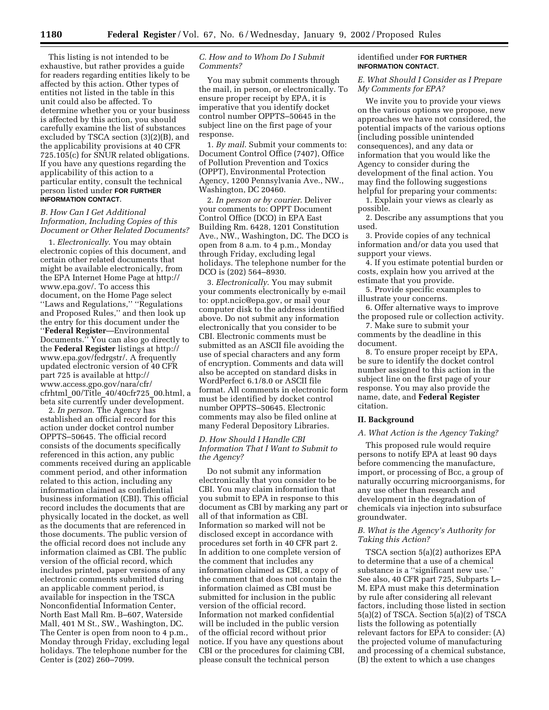This listing is not intended to be exhaustive, but rather provides a guide for readers regarding entities likely to be affected by this action. Other types of entities not listed in the table in this unit could also be affected. To determine whether you or your business is affected by this action, you should carefully examine the list of substances excluded by TSCA section (3)(2)(B), and the applicability provisions at 40 CFR 725.105(c) for SNUR related obligations. If you have any questions regarding the applicability of this action to a particular entity, consult the technical person listed under **FOR FURTHER INFORMATION CONTACT**.

# *B. How Can I Get Additional Information, Including Copies of this Document or Other Related Documents?*

1. *Electronically*. You may obtain electronic copies of this document, and certain other related documents that might be available electronically, from the EPA Internet Home Page at http:// www.epa.gov/. To access this document, on the Home Page select ''Laws and Regulations,'' ''Regulations and Proposed Rules,'' and then look up the entry for this document under the ''**Federal Register**—Environmental Documents.'' You can also go directly to the **Federal Register** listings at http:// www.epa.gov/fedrgstr/. A frequently updated electronic version of 40 CFR part 725 is available at http:// www.access.gpo.gov/nara/cfr/ cfrhtml\_00/Title\_40/40cfr725\_00.html, a beta site currently under development.

2. *In person*. The Agency has established an official record for this action under docket control number OPPTS–50645. The official record consists of the documents specifically referenced in this action, any public comments received during an applicable comment period, and other information related to this action, including any information claimed as confidential business information (CBI). This official record includes the documents that are physically located in the docket, as well as the documents that are referenced in those documents. The public version of the official record does not include any information claimed as CBI. The public version of the official record, which includes printed, paper versions of any electronic comments submitted during an applicable comment period, is available for inspection in the TSCA Nonconfidential Information Center, North East Mall Rm. B–607, Waterside Mall, 401 M St., SW., Washington, DC. The Center is open from noon to 4 p.m., Monday through Friday, excluding legal holidays. The telephone number for the Center is (202) 260–7099.

# *C. How and to Whom Do I Submit Comments?*

You may submit comments through the mail, in person, or electronically. To ensure proper receipt by EPA, it is imperative that you identify docket control number OPPTS–50645 in the subject line on the first page of your response.

1. *By mail*. Submit your comments to: Document Control Office (7407), Office of Pollution Prevention and Toxics (OPPT), Environmental Protection Agency, 1200 Pennsylvania Ave., NW., Washington, DC 20460.

2. *In person or by courier*. Deliver your comments to: OPPT Document Control Office (DCO) in EPA East Building Rm. 6428, 1201 Constitution Ave., NW., Washington, DC. The DCO is open from 8 a.m. to 4 p.m., Monday through Friday, excluding legal holidays. The telephone number for the DCO is (202) 564–8930.

3. *Electronically*. You may submit your comments electronically by e-mail to: oppt.ncic@epa.gov, or mail your computer disk to the address identified above. Do not submit any information electronically that you consider to be CBI. Electronic comments must be submitted as an ASCII file avoiding the use of special characters and any form of encryption. Comments and data will also be accepted on standard disks in WordPerfect 6.1/8.0 or ASCII file format. All comments in electronic form must be identified by docket control number OPPTS–50645. Electronic comments may also be filed online at many Federal Depository Libraries.

## *D. How Should I Handle CBI Information That I Want to Submit to the Agency?*

Do not submit any information electronically that you consider to be CBI. You may claim information that you submit to EPA in response to this document as CBI by marking any part or all of that information as CBI. Information so marked will not be disclosed except in accordance with procedures set forth in 40 CFR part 2. In addition to one complete version of the comment that includes any information claimed as CBI, a copy of the comment that does not contain the information claimed as CBI must be submitted for inclusion in the public version of the official record. Information not marked confidential will be included in the public version of the official record without prior notice. If you have any questions about CBI or the procedures for claiming CBI, please consult the technical person

# identified under **FOR FURTHER INFORMATION CONTACT**.

### *E. What Should I Consider as I Prepare My Comments for EPA?*

We invite you to provide your views on the various options we propose, new approaches we have not considered, the potential impacts of the various options (including possible unintended consequences), and any data or information that you would like the Agency to consider during the development of the final action. You may find the following suggestions helpful for preparing your comments:

1. Explain your views as clearly as possible.

2. Describe any assumptions that you used.

3. Provide copies of any technical information and/or data you used that support your views.

4. If you estimate potential burden or costs, explain how you arrived at the estimate that you provide.

5. Provide specific examples to illustrate your concerns.

6. Offer alternative ways to improve the proposed rule or collection activity.

7. Make sure to submit your comments by the deadline in this document.

8. To ensure proper receipt by EPA, be sure to identify the docket control number assigned to this action in the subject line on the first page of your response. You may also provide the name, date, and **Federal Register** citation.

# **II. Background**

# *A. What Action is the Agency Taking?*

This proposed rule would require persons to notify EPA at least 90 days before commencing the manufacture, import, or processing of Bcc, a group of naturally occurring microorganisms, for any use other than research and development in the degradation of chemicals via injection into subsurface groundwater.

# *B. What is the Agency's Authority for Taking this Action?*

TSCA section 5(a)(2) authorizes EPA to determine that a use of a chemical substance is a ''significant new use.'' See also, 40 CFR part 725, Subparts L– M. EPA must make this determination by rule after considering all relevant factors, including those listed in section 5(a)(2) of TSCA. Section 5(a)(2) of TSCA lists the following as potentially relevant factors for EPA to consider: (A) the projected volume of manufacturing and processing of a chemical substance, (B) the extent to which a use changes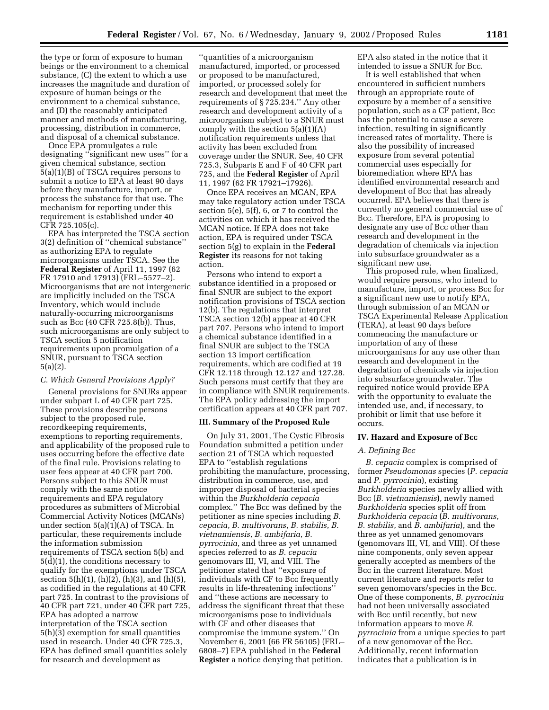the type or form of exposure to human beings or the environment to a chemical substance, (C) the extent to which a use increases the magnitude and duration of exposure of human beings or the environment to a chemical substance, and (D) the reasonably anticipated manner and methods of manufacturing, processing, distribution in commerce, and disposal of a chemical substance.

Once EPA promulgates a rule designating ''significant new uses'' for a given chemical substance, section 5(a)(1)(B) of TSCA requires persons to submit a notice to EPA at least 90 days before they manufacture, import, or process the substance for that use. The mechanism for reporting under this requirement is established under 40 CFR 725.105(c).

EPA has interpreted the TSCA section 3(2) definition of ''chemical substance'' as authorizing EPA to regulate microorganisms under TSCA. See the **Federal Register** of April 11, 1997 (62 FR 17910 and 17913) (FRL–5577–2). Microorganisms that are not intergeneric are implicitly included on the TSCA Inventory, which would include naturally-occurring microorganisms such as Bcc (40 CFR 725.8(b)). Thus, such microorganisms are only subject to TSCA section 5 notification requirements upon promulgation of a SNUR, pursuant to TSCA section 5(a)(2).

### *C. Which General Provisions Apply?*

General provisions for SNURs appear under subpart L of 40 CFR part 725. These provisions describe persons subject to the proposed rule, recordkeeping requirements, exemptions to reporting requirements, and applicability of the proposed rule to uses occurring before the effective date of the final rule. Provisions relating to user fees appear at 40 CFR part 700. Persons subject to this SNUR must comply with the same notice requirements and EPA regulatory procedures as submitters of Microbial Commercial Activity Notices (MCANs) under section 5(a)(1)(A) of TSCA. In particular, these requirements include the information submission requirements of TSCA section 5(b) and 5(d)(1), the conditions necessary to qualify for the exemptions under TSCA section  $5(h)(1)$ ,  $(h)(2)$ ,  $(h)(3)$ , and  $(h)(5)$ , as codified in the regulations at 40 CFR part 725. In contrast to the provisions of 40 CFR part 721, under 40 CFR part 725, EPA has adopted a narrow interpretation of the TSCA section 5(h)(3) exemption for small quantities used in research. Under 40 CFR 725.3, EPA has defined small quantities solely for research and development as

''quantities of a microorganism manufactured, imported, or processed or proposed to be manufactured, imported, or processed solely for research and development that meet the requirements of § 725.234.'' Any other research and development activity of a microorganism subject to a SNUR must comply with the section  $5(a)(1)(A)$ notification requirements unless that activity has been excluded from coverage under the SNUR. See, 40 CFR 725.3, Subparts E and F of 40 CFR part 725, and the **Federal Register** of April 11, 1997 (62 FR 17921–17926).

Once EPA receives an MCAN, EPA may take regulatory action under TSCA section 5(e), 5(f), 6, or 7 to control the activities on which it has received the MCAN notice. If EPA does not take action, EPA is required under TSCA section 5(g) to explain in the **Federal Register** its reasons for not taking action.

Persons who intend to export a substance identified in a proposed or final SNUR are subject to the export notification provisions of TSCA section 12(b). The regulations that interpret TSCA section 12(b) appear at 40 CFR part 707. Persons who intend to import a chemical substance identified in a final SNUR are subject to the TSCA section 13 import certification requirements, which are codified at 19 CFR 12.118 through 12.127 and 127.28. Such persons must certify that they are in compliance with SNUR requirements. The EPA policy addressing the import certification appears at 40 CFR part 707.

# **III. Summary of the Proposed Rule**

On July 31, 2001, The Cystic Fibrosis Foundation submitted a petition under section 21 of TSCA which requested EPA to ''establish regulations prohibiting the manufacture, processing, distribution in commerce, use, and improper disposal of bacterial species within the *Burkholderia cepacia* complex.'' The Bcc was defined by the petitioner as nine species including *B. cepacia*, *B. multivorans*, *B. stabilis*, *B. vietnamiensis*, *B. ambifaria*, *B. pyrrocinia*, and three as yet unnamed species referred to as *B. cepacia* genomovars III, VI, and VIII. The petitioner stated that ''exposure of individuals with CF to Bcc frequently results in life-threatening infections'' and ''these actions are necessary to address the significant threat that these microorganisms pose to individuals with CF and other diseases that compromise the immune system.'' On November 6, 2001 (66 FR 56105) (FRL– 6808–7) EPA published in the **Federal Register** a notice denying that petition.

EPA also stated in the notice that it intended to issue a SNUR for Bcc.

It is well established that when encountered in sufficient numbers through an appropriate route of exposure by a member of a sensitive population, such as a CF patient, Bcc has the potential to cause a severe infection, resulting in significantly increased rates of mortality. There is also the possibility of increased exposure from several potential commercial uses especially for bioremediation where EPA has identified environmental research and development of Bcc that has already occurred. EPA believes that there is currently no general commercial use of Bcc. Therefore, EPA is proposing to designate any use of Bcc other than research and development in the degradation of chemicals via injection into subsurface groundwater as a significant new use.

This proposed rule, when finalized, would require persons, who intend to manufacture, import, or process Bcc for a significant new use to notify EPA, through submission of an MCAN or TSCA Experimental Release Application (TERA), at least 90 days before commencing the manufacture or importation of any of these microorganisms for any use other than research and development in the degradation of chemicals via injection into subsurface groundwater. The required notice would provide EPA with the opportunity to evaluate the intended use, and, if necessary, to prohibit or limit that use before it occurs.

#### **IV. Hazard and Exposure of Bcc**

### *A. Defining Bcc*

*B. cepacia* complex is comprised of former *Pseudomonas* species (*P. cepacia* and *P. pyrrocinia*), existing *Burkholderia* species newly allied with Bcc (*B. vietnamiensis*), newly named *Burkholderia* species split off from *Burkholderia cepacia* (*B. multivorans*, *B. stabilis*, and *B. ambifaria*), and the three as yet unnamed genomovars (genomovars III, VI, and VIII). Of these nine components, only seven appear generally accepted as members of the Bcc in the current literature. Most current literature and reports refer to seven genomovars/species in the Bcc. One of these components, *B. pyrrocinia* had not been universally associated with Bcc until recently, but new information appears to move *B. pyrrocinia* from a unique species to part of a new genomovar of the Bcc. Additionally, recent information indicates that a publication is in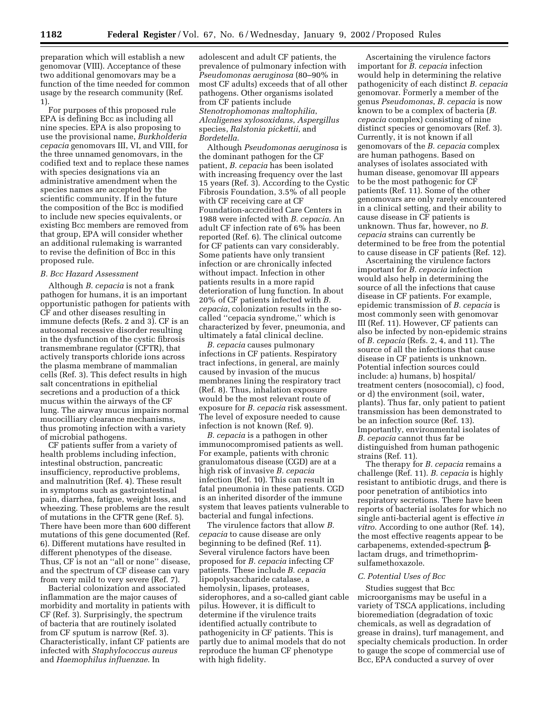preparation which will establish a new genomovar (VIII). Acceptance of these two additional genomovars may be a function of the time needed for common usage by the research community (Ref. 1).

For purposes of this proposed rule EPA is defining Bcc as including all nine species. EPA is also proposing to use the provisional name, *Burkholderia cepacia* genomovars III, VI, and VIII, for the three unnamed genomovars, in the codified text and to replace these names with species designations via an administrative amendment when the species names are accepted by the scientific community. If in the future the composition of the Bcc is modified to include new species equivalents, or existing Bcc members are removed from that group, EPA will consider whether an additional rulemaking is warranted to revise the definition of Bcc in this proposed rule.

## *B. Bcc Hazard Assessment*

Although *B. cepacia* is not a frank pathogen for humans, it is an important opportunistic pathogen for patients with CF and other diseases resulting in immune defects (Refs. 2 and 3). CF is an autosomal recessive disorder resulting in the dysfunction of the cystic fibrosis transmembrane regulator (CFTR), that actively transports chloride ions across the plasma membrane of mammalian cells (Ref. 3). This defect results in high salt concentrations in epithelial secretions and a production of a thick mucus within the airways of the CF lung. The airway mucus impairs normal mucocilliary clearance mechanisms, thus promoting infection with a variety of microbial pathogens.

CF patients suffer from a variety of health problems including infection, intestinal obstruction, pancreatic insufficiency, reproductive problems, and malnutrition (Ref. 4). These result in symptoms such as gastrointestinal pain, diarrhea, fatigue, weight loss, and wheezing. These problems are the result of mutations in the CFTR gene (Ref. 5). There have been more than 600 different mutations of this gene documented (Ref. 6). Different mutations have resulted in different phenotypes of the disease. Thus, CF is not an ''all or none'' disease, and the spectrum of CF disease can vary from very mild to very severe (Ref. 7).

Bacterial colonization and associated inflammation are the major causes of morbidity and mortality in patients with CF (Ref. 3). Surprisingly, the spectrum of bacteria that are routinely isolated from CF sputum is narrow (Ref. 3). Characteristically, infant CF patients are infected with *Staphylococcus aureus* and *Haemophilus influenzae*. In

adolescent and adult CF patients, the prevalence of pulmonary infection with *Pseudomonas aeruginosa* (80–90% in most CF adults) exceeds that of all other pathogens. Other organisms isolated from CF patients include *Stenotrophomonas maltophilia*, *Alcaligenes xylosoxidans*, *Aspergillus* species, *Ralstonia pickettii*, and *Bordetella*.

Although *Pseudomonas aeruginosa* is the dominant pathogen for the CF patient, *B. cepacia* has been isolated with increasing frequency over the last 15 years (Ref. 3). According to the Cystic Fibrosis Foundation, 3.5% of all people with CF receiving care at CF Foundation-accredited Care Centers in 1988 were infected with *B. cepacia*. An adult CF infection rate of 6% has been reported (Ref. 6). The clinical outcome for CF patients can vary considerably. Some patients have only transient infection or are chronically infected without impact. Infection in other patients results in a more rapid deterioration of lung function. In about 20% of CF patients infected with *B. cepacia*, colonization results in the socalled ''cepacia syndrome,'' which is characterized by fever, pneumonia, and ultimately a fatal clinical decline.

*B. cepacia* causes pulmonary infections in CF patients. Respiratory tract infections, in general, are mainly caused by invasion of the mucus membranes lining the respiratory tract (Ref. 8). Thus, inhalation exposure would be the most relevant route of exposure for *B. cepacia* risk assessment. The level of exposure needed to cause infection is not known (Ref. 9).

*B. cepacia* is a pathogen in other immunocompromised patients as well. For example, patients with chronic granulomatous disease (CGD) are at a high risk of invasive *B. cepacia* infection (Ref. 10). This can result in fatal pneumonia in these patients. CGD is an inherited disorder of the immune system that leaves patients vulnerable to bacterial and fungal infections.

The virulence factors that allow *B. cepacia* to cause disease are only beginning to be defined (Ref. 11). Several virulence factors have been proposed for *B. cepacia* infecting CF patients. These include *B. cepacia* lipopolysaccharide catalase, a hemolysin, lipases, proteases, siderophores, and a so-called giant cable pilus. However, it is difficult to determine if the virulence traits identified actually contribute to pathogenicity in CF patients. This is partly due to animal models that do not reproduce the human CF phenotype with high fidelity.

Ascertaining the virulence factors important for *B. cepacia* infection would help in determining the relative pathogenicity of each distinct *B. cepacia* genomovar. Formerly a member of the genus *Pseudomonas*, *B. cepacia* is now known to be a complex of bacteria (*B. cepacia* complex) consisting of nine distinct species or genomovars (Ref. 3). Currently, it is not known if all genomovars of the *B. cepacia* complex are human pathogens. Based on analyses of isolates associated with human disease, genomovar III appears to be the most pathogenic for CF patients (Ref. 11). Some of the other genomovars are only rarely encountered in a clinical setting, and their ability to cause disease in CF patients is unknown. Thus far, however, no *B. cepacia* strains can currently be determined to be free from the potential to cause disease in CF patients (Ref. 12).

Ascertaining the virulence factors important for *B. cepacia* infection would also help in determining the source of all the infections that cause disease in CF patients. For example, epidemic transmission of *B. cepacia* is most commonly seen with genomovar III (Ref. 11). However, CF patients can also be infected by non-epidemic strains of *B. cepacia* (Refs. 2, 4, and 11). The source of all the infections that cause disease in CF patients is unknown. Potential infection sources could include: a) humans, b) hospital/ treatment centers (nosocomial), c) food, or d) the environment (soil, water, plants). Thus far, only patient to patient transmission has been demonstrated to be an infection source (Ref. 13). Importantly, environmental isolates of *B. cepacia* cannot thus far be distinguished from human pathogenic strains (Ref. 11).

The therapy for *B. cepacia* remains a challenge (Ref. 11). *B. cepacia* is highly resistant to antibiotic drugs, and there is poor penetration of antibiotics into respiratory secretions. There have been reports of bacterial isolates for which no single anti-bacterial agent is effective *in vitro*. According to one author (Ref. 14), the most effective reagents appear to be carbapenems, extended-spectrum βlactam drugs, and trimethoprimsulfamethoxazole.

## *C. Potential Uses of Bcc*

Studies suggest that Bcc microorganisms may be useful in a variety of TSCA applications, including bioremediation (degradation of toxic chemicals, as well as degradation of grease in drains), turf management, and specialty chemicals production. In order to gauge the scope of commercial use of Bcc, EPA conducted a survey of over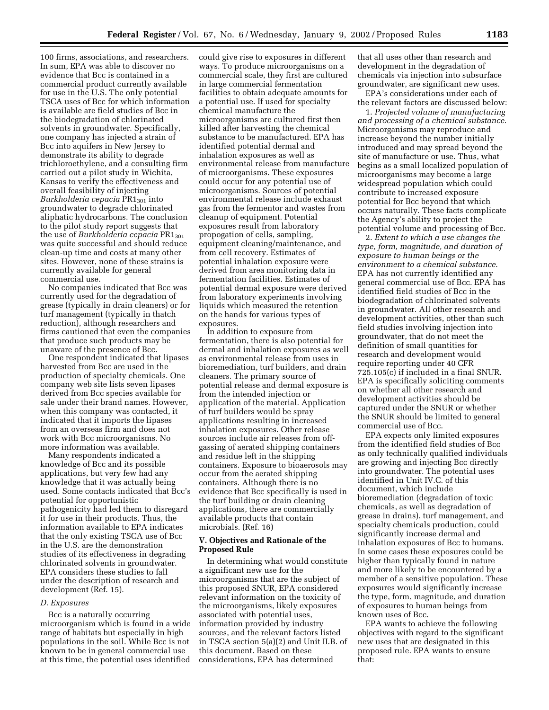100 firms, associations, and researchers. In sum, EPA was able to discover no evidence that Bcc is contained in a commercial product currently available for use in the U.S. The only potential TSCA uses of Bcc for which information is available are field studies of Bcc in the biodegradation of chlorinated solvents in groundwater. Specifically, one company has injected a strain of Bcc into aquifers in New Jersey to demonstrate its ability to degrade trichloroethylene, and a consulting firm carried out a pilot study in Wichita, Kansas to verify the effectiveness and overall feasibility of injecting *Burkholderia cepacia* PR1301 into groundwater to degrade chlorinated aliphatic hydrocarbons. The conclusion to the pilot study report suggests that the use of *Burkholderia cepacia* PR1301 was quite successful and should reduce clean-up time and costs at many other sites. However, none of these strains is currently available for general commercial use.

No companies indicated that Bcc was currently used for the degradation of grease (typically in drain cleaners) or for turf management (typically in thatch reduction), although researchers and firms cautioned that even the companies that produce such products may be unaware of the presence of Bcc.

One respondent indicated that lipases harvested from Bcc are used in the production of specialty chemicals. One company web site lists seven lipases derived from Bcc species available for sale under their brand names. However, when this company was contacted, it indicated that it imports the lipases from an overseas firm and does not work with Bcc microorganisms. No more information was available.

Many respondents indicated a knowledge of Bcc and its possible applications, but very few had any knowledge that it was actually being used. Some contacts indicated that Bcc's potential for opportunistic pathogenicity had led them to disregard it for use in their products. Thus, the information available to EPA indicates that the only existing TSCA use of Bcc in the U.S. are the demonstration studies of its effectiveness in degrading chlorinated solvents in groundwater. EPA considers these studies to fall under the description of research and development (Ref. 15).

#### *D. Exposures*

Bcc is a naturally occurring microorganism which is found in a wide range of habitats but especially in high populations in the soil. While Bcc is not known to be in general commercial use at this time, the potential uses identified

could give rise to exposures in different ways. To produce microorganisms on a commercial scale, they first are cultured in large commercial fermentation facilities to obtain adequate amounts for a potential use. If used for specialty chemical manufacture the microorganisms are cultured first then killed after harvesting the chemical substance to be manufactured. EPA has identified potential dermal and inhalation exposures as well as environmental release from manufacture of microorganisms. These exposures could occur for any potential use of microorganisms. Sources of potential environmental release include exhaust gas from the fermentor and wastes from cleanup of equipment. Potential exposures result from laboratory propogation of cells, sampling, equipment cleaning/maintenance, and from cell recovery. Estimates of potential inhalation exposure were derived from area monitoring data in fermentation facilities. Estimates of potential dermal exposure were derived from laboratory experiments involving liquids which measured the retention on the hands for various types of exposures.

In addition to exposure from fermentation, there is also potential for dermal and inhalation exposures as well as environmental release from uses in bioremediation, turf builders, and drain cleaners. The primary source of potential release and dermal exposure is from the intended injection or application of the material. Application of turf builders would be spray applications resulting in increased inhalation exposures. Other release sources include air releases from offgassing of aerated shipping containers and residue left in the shipping containers. Exposure to bioaerosols may occur from the aerated shipping containers. Although there is no evidence that Bcc specifically is used in the turf building or drain cleaning applications, there are commercially available products that contain microbials. (Ref. 16)

## **V. Objectives and Rationale of the Proposed Rule**

In determining what would constitute a significant new use for the microorganisms that are the subject of this proposed SNUR, EPA considered relevant information on the toxicity of the microorganisms, likely exposures associated with potential uses, information provided by industry sources, and the relevant factors listed in TSCA section 5(a)(2) and Unit II.B. of this document. Based on these considerations, EPA has determined

that all uses other than research and development in the degradation of chemicals via injection into subsurface groundwater, are significant new uses.

EPA's considerations under each of the relevant factors are discussed below:

1. *Projected volume of manufacturing and processing of a chemical substance*. Microorganisms may reproduce and increase beyond the number initially introduced and may spread beyond the site of manufacture or use. Thus, what begins as a small localized population of microorganisms may become a large widespread population which could contribute to increased exposure potential for Bcc beyond that which occurs naturally. These facts complicate the Agency's ability to project the potential volume and processing of Bcc.

2. *Extent to which a use changes the type, form, magnitude, and duration of exposure to human beings or the environment to a chemical substance*. EPA has not currently identified any general commercial use of Bcc. EPA has identified field studies of Bcc in the biodegradation of chlorinated solvents in groundwater. All other research and development activities, other than such field studies involving injection into groundwater, that do not meet the definition of small quantities for research and development would require reporting under 40 CFR 725.105(c) if included in a final SNUR. EPA is specifically soliciting comments on whether all other research and development activities should be captured under the SNUR or whether the SNUR should be limited to general commercial use of Bcc.

EPA expects only limited exposures from the identified field studies of Bcc as only technically qualified individuals are growing and injecting Bcc directly into groundwater. The potential uses identified in Unit IV.C. of this document, which include bioremediation (degradation of toxic chemicals, as well as degradation of grease in drains), turf management, and specialty chemicals production, could significantly increase dermal and inhalation exposures of Bcc to humans. In some cases these exposures could be higher than typically found in nature and more likely to be encountered by a member of a sensitive population. These exposures would significantly increase the type, form, magnitude, and duration of exposures to human beings from known uses of Bcc.

EPA wants to achieve the following objectives with regard to the significant new uses that are designated in this proposed rule. EPA wants to ensure that: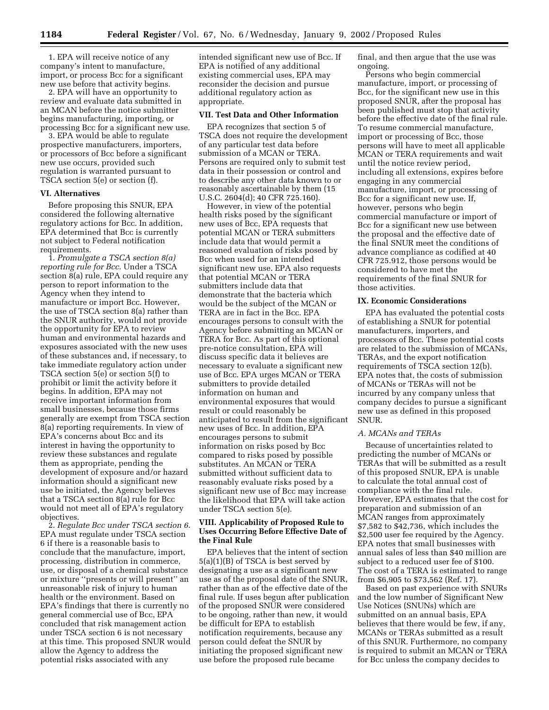1. EPA will receive notice of any company's intent to manufacture, import, or process Bcc for a significant new use before that activity begins.

2. EPA will have an opportunity to review and evaluate data submitted in an MCAN before the notice submitter begins manufacturing, importing, or processing Bcc for a significant new use.

3. EPA would be able to regulate prospective manufacturers, importers, or processors of Bcc before a significant new use occurs, provided such regulation is warranted pursuant to TSCA section 5(e) or section (f).

### **VI. Alternatives**

Before proposing this SNUR, EPA considered the following alternative regulatory actions for Bcc. In addition, EPA determined that Bcc is currently not subject to Federal notification requirements.

1. *Promulgate a TSCA section 8(a) reporting rule for Bcc*. Under a TSCA section 8(a) rule, EPA could require any person to report information to the Agency when they intend to manufacture or import Bcc. However, the use of TSCA section 8(a) rather than the SNUR authority, would not provide the opportunity for EPA to review human and environmental hazards and exposures associated with the new uses of these substances and, if necessary, to take immediate regulatory action under TSCA section 5(e) or section 5(f) to prohibit or limit the activity before it begins. In addition, EPA may not receive important information from small businesses, because those firms generally are exempt from TSCA section 8(a) reporting requirements. In view of EPA's concerns about Bcc and its interest in having the opportunity to review these substances and regulate them as appropriate, pending the development of exposure and/or hazard information should a significant new use be initiated, the Agency believes that a TSCA section 8(a) rule for Bcc would not meet all of EPA's regulatory objectives.

2. *Regulate Bcc under TSCA section 6*. EPA must regulate under TSCA section 6 if there is a reasonable basis to conclude that the manufacture, import, processing, distribution in commerce, use, or disposal of a chemical substance or mixture ''presents or will present'' an unreasonable risk of injury to human health or the environment. Based on EPA's findings that there is currently no general commercial use of Bcc, EPA concluded that risk management action under TSCA section 6 is not necessary at this time. This proposed SNUR would allow the Agency to address the potential risks associated with any

intended significant new use of Bcc. If EPA is notified of any additional existing commercial uses, EPA may reconsider the decision and pursue additional regulatory action as appropriate.

#### **VII. Test Data and Other Information**

EPA recognizes that section 5 of TSCA does not require the development of any particular test data before submission of a MCAN or TERA. Persons are required only to submit test data in their possession or control and to describe any other data known to or reasonably ascertainable by them (15 U.S.C. 2604(d); 40 CFR 725.160).

However, in view of the potential health risks posed by the significant new uses of Bcc, EPA requests that potential MCAN or TERA submitters include data that would permit a reasoned evaluation of risks posed by Bcc when used for an intended significant new use. EPA also requests that potential MCAN or TERA submitters include data that demonstrate that the bacteria which would be the subject of the MCAN or TERA are in fact in the Bcc. EPA encourages persons to consult with the Agency before submitting an MCAN or TERA for Bcc. As part of this optional pre-notice consultation, EPA will discuss specific data it believes are necessary to evaluate a significant new use of Bcc. EPA urges MCAN or TERA submitters to provide detailed information on human and environmental exposures that would result or could reasonably be anticipated to result from the significant new uses of Bcc. In addition, EPA encourages persons to submit information on risks posed by Bcc compared to risks posed by possible substitutes. An MCAN or TERA submitted without sufficient data to reasonably evaluate risks posed by a significant new use of Bcc may increase the likelihood that EPA will take action under TSCA section 5(e).

## **VIII. Applicability of Proposed Rule to Uses Occurring Before Effective Date of the Final Rule**

EPA believes that the intent of section 5(a)(1)(B) of TSCA is best served by designating a use as a significant new use as of the proposal date of the SNUR, rather than as of the effective date of the final rule. If uses begun after publication of the proposed SNUR were considered to be ongoing, rather than new, it would be difficult for EPA to establish notification requirements, because any person could defeat the SNUR by initiating the proposed significant new use before the proposed rule became

final, and then argue that the use was ongoing.

Persons who begin commercial manufacture, import, or processing of Bcc, for the significant new use in this proposed SNUR, after the proposal has been published must stop that activity before the effective date of the final rule. To resume commercial manufacture, import or processing of Bcc, those persons will have to meet all applicable MCAN or TERA requirements and wait until the notice review period, including all extensions, expires before engaging in any commercial manufacture, import, or processing of Bcc for a significant new use. If, however, persons who begin commercial manufacture or import of Bcc for a significant new use between the proposal and the effective date of the final SNUR meet the conditions of advance compliance as codified at 40 CFR 725.912, those persons would be considered to have met the requirements of the final SNUR for those activities.

#### **IX. Economic Considerations**

EPA has evaluated the potential costs of establishing a SNUR for potential manufacturers, importers, and processors of Bcc. These potential costs are related to the submission of MCANs, TERAs, and the export notification requirements of TSCA section 12(b). EPA notes that, the costs of submission of MCANs or TERAs will not be incurred by any company unless that company decides to pursue a significant new use as defined in this proposed SNUR.

# *A. MCANs and TERAs*

Because of uncertainties related to predicting the number of MCANs or TERAs that will be submitted as a result of this proposed SNUR, EPA is unable to calculate the total annual cost of compliance with the final rule. However, EPA estimates that the cost for preparation and submission of an MCAN ranges from approximately \$7,582 to \$42,736, which includes the \$2,500 user fee required by the Agency. EPA notes that small businesses with annual sales of less than \$40 million are subject to a reduced user fee of \$100. The cost of a TERA is estimated to range from \$6,905 to \$73,562 (Ref. 17).

Based on past experience with SNURs and the low number of Significant New Use Notices (SNUNs) which are submitted on an annual basis, EPA believes that there would be few, if any, MCANs or TERAs submitted as a result of this SNUR. Furthermore, no company is required to submit an MCAN or TERA for Bcc unless the company decides to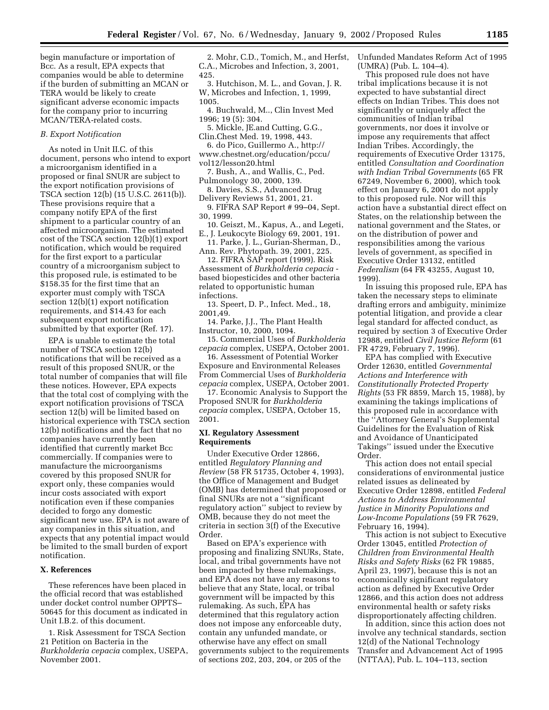begin manufacture or importation of Bcc. As a result, EPA expects that companies would be able to determine if the burden of submitting an MCAN or TERA would be likely to create significant adverse economic impacts for the company prior to incurring MCAN/TERA-related costs.

#### *B. Export Notification*

As noted in Unit II.C. of this document, persons who intend to export a microorganism identified in a proposed or final SNUR are subject to the export notification provisions of TSCA section 12(b) (15 U.S.C. 2611(b)). These provisions require that a company notify EPA of the first shipment to a particular country of an affected microorganism. The estimated cost of the TSCA section 12(b)(1) export notification, which would be required for the first export to a particular country of a microorganism subject to this proposed rule, is estimated to be \$158.35 for the first time that an exporter must comply with TSCA section 12(b)(1) export notification requirements, and \$14.43 for each subsequent export notification submitted by that exporter (Ref. 17).

EPA is unable to estimate the total number of TSCA section 12(b) notifications that will be received as a result of this proposed SNUR, or the total number of companies that will file these notices. However, EPA expects that the total cost of complying with the export notification provisions of TSCA section 12(b) will be limited based on historical experience with TSCA section 12(b) notifications and the fact that no companies have currently been identified that currently market Bcc commercially. If companies were to manufacture the microorganisms covered by this proposed SNUR for export only, these companies would incur costs associated with export notification even if these companies decided to forgo any domestic significant new use. EPA is not aware of any companies in this situation, and expects that any potential impact would be limited to the small burden of export notification.

#### **X. References**

These references have been placed in the official record that was established under docket control number OPPTS– 50645 for this document as indicated in Unit I.B.2. of this document.

1. Risk Assessment for TSCA Section 21 Petition on Bacteria in the *Burkholderia cepacia* complex, USEPA, November 2001.

2. Mohr, C.D., Tomich, M., and Herfst, C.A., Microbes and Infection, 3, 2001, 425.

3. Hutchison, M. L., and Govan, J. R. W, Microbes and Infection, 1, 1999, 1005.

- 4. Buchwald, M.., Clin Invest Med 1996; 19 (5): 304.
- 5. Mickle, JE.and Cutting, G.G., Clin.Chest Med. 19, 1998, 443.
- 6. do Pico, Guillermo A., http:// www.chestnet.org/education/pccu/
- vol12/lesson20.html
- 7. Bush, A., and Wallis, C., Ped. Pulmonology 30, 2000, 139.
- 8. Davies, S.S., Advanced Drug Delivery Reviews 51, 2001, 21.
- 9. FIFRA SAP Report # 99–04, Sept. 30, 1999.
- 10. Geiszt, M., Kapus, A., and Legeti, E., J. Leukocyte Biology 69, 2001, 191.
- 11. Parke, J. L., Gurian-Sherman, D., Ann. Rev. Phytopath. 39, 2001, 225.

12. FIFRA SAP report (1999). Risk Assessment of *Burkholderia cepacia*  based biopesticides and other bacteria related to opportunistic human infections.

13. Speert, D. P., Infect. Med., 18, 2001,49.

14. Parke, J.J., The Plant Health Instructor, 10, 2000, 1094.

15. Commercial Uses of *Burkholderia cepacia* complex, USEPA, October 2001.

16. Assessment of Potential Worker Exposure and Environmental Releases From Commercial Uses of *Burkholderia cepacia* complex, USEPA, October 2001.

17. Economic Analysis to Support the Proposed SNUR for *Burkholderia cepacia* complex, USEPA, October 15, 2001.

### **XI. Regulatory Assessment Requirements**

Under Executive Order 12866, entitled *Regulatory Planning and Review* (58 FR 51735, October 4, 1993), the Office of Management and Budget (OMB) has determined that proposed or final SNURs are not a ''significant regulatory action'' subject to review by OMB, because they do not meet the criteria in section 3(f) of the Executive Order.

Based on EPA's experience with proposing and finalizing SNURs, State, local, and tribal governments have not been impacted by these rulemakings, and EPA does not have any reasons to believe that any State, local, or tribal government will be impacted by this rulemaking. As such, EPA has determined that this regulatory action does not impose any enforceable duty, contain any unfunded mandate, or otherwise have any effect on small governments subject to the requirements of sections 202, 203, 204, or 205 of the

Unfunded Mandates Reform Act of 1995 (UMRA) (Pub. L. 104–4).

This proposed rule does not have tribal implications because it is not expected to have substantial direct effects on Indian Tribes. This does not significantly or uniquely affect the communities of Indian tribal governments, nor does it involve or impose any requirements that affect Indian Tribes. Accordingly, the requirements of Executive Order 13175, entitled *Consultation and Coordination with Indian Tribal Governments* (65 FR 67249, November 6, 2000), which took effect on January 6, 2001 do not apply to this proposed rule. Nor will this action have a substantial direct effect on States, on the relationship between the national government and the States, or on the distribution of power and responsibilities among the various levels of government, as specified in Executive Order 13132, entitled *Federalism* (64 FR 43255, August 10, 1999).

In issuing this proposed rule, EPA has taken the necessary steps to eliminate drafting errors and ambiguity, minimize potential litigation, and provide a clear legal standard for affected conduct, as required by section 3 of Executive Order 12988, entitled *Civil Justice Reform* (61 FR 4729, February 7, 1996).

EPA has complied with Executive Order 12630, entitled *Governmental Actions and Interference with Constitutionally Protected Property Rights* (53 FR 8859, March 15, 1988), by examining the takings implications of this proposed rule in accordance with the ''Attorney General's Supplemental Guidelines for the Evaluation of Risk and Avoidance of Unanticipated Takings'' issued under the Executive Order.

This action does not entail special considerations of environmental justice related issues as delineated by Executive Order 12898, entitled *Federal Actions to Address Environmental Justice in Minority Populations and Low-Income Populations* (59 FR 7629, February 16, 1994).

This action is not subject to Executive Order 13045, entitled *Protection of Children from Environmental Health Risks and Safety Risks* (62 FR 19885, April 23, 1997), because this is not an economically significant regulatory action as defined by Executive Order 12866, and this action does not address environmental health or safety risks disproportionately affecting children.

In addition, since this action does not involve any technical standards, section 12(d) of the National Technology Transfer and Advancement Act of 1995 (NTTAA), Pub. L. 104–113, section